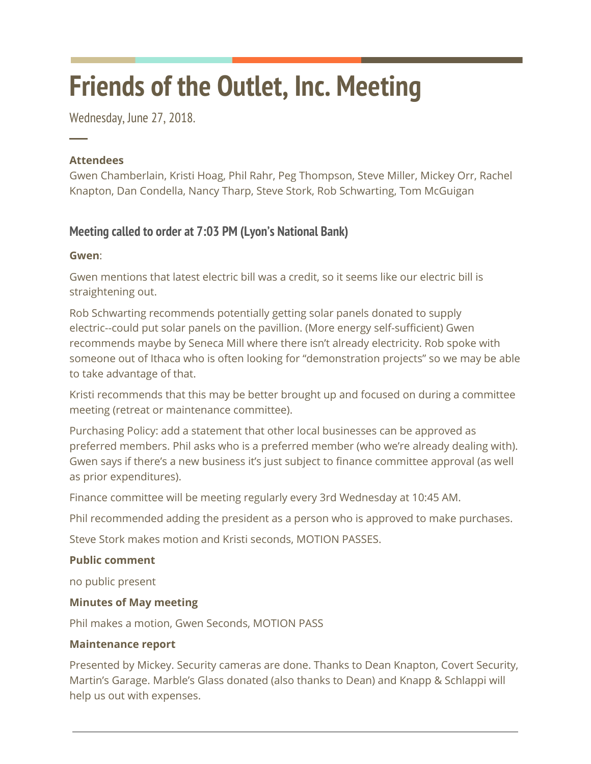# **Friends of the Outlet, Inc. Meeting**

Wednesday, June 27, 2018.

## **Attendees**

─

Gwen Chamberlain, Kristi Hoag, Phil Rahr, Peg Thompson, Steve Miller, Mickey Orr, Rachel Knapton, Dan Condella, Nancy Tharp, Steve Stork, Rob Schwarting, Tom McGuigan

# **Meeting called to order at 7:03 PM (Lyon's National Bank)**

## **Gwen**:

Gwen mentions that latest electric bill was a credit, so it seems like our electric bill is straightening out.

Rob Schwarting recommends potentially getting solar panels donated to supply electric--could put solar panels on the pavillion. (More energy self-sufficient) Gwen recommends maybe by Seneca Mill where there isn't already electricity. Rob spoke with someone out of Ithaca who is often looking for "demonstration projects" so we may be able to take advantage of that.

Kristi recommends that this may be better brought up and focused on during a committee meeting (retreat or maintenance committee).

Purchasing Policy: add a statement that other local businesses can be approved as preferred members. Phil asks who is a preferred member (who we're already dealing with). Gwen says if there's a new business it's just subject to finance committee approval (as well as prior expenditures).

Finance committee will be meeting regularly every 3rd Wednesday at 10:45 AM.

Phil recommended adding the president as a person who is approved to make purchases.

Steve Stork makes motion and Kristi seconds, MOTION PASSES.

# **Public comment**

no public present

# **Minutes of May meeting**

Phil makes a motion, Gwen Seconds, MOTION PASS

## **Maintenance report**

Presented by Mickey. Security cameras are done. Thanks to Dean Knapton, Covert Security, Martin's Garage. Marble's Glass donated (also thanks to Dean) and Knapp & Schlappi will help us out with expenses.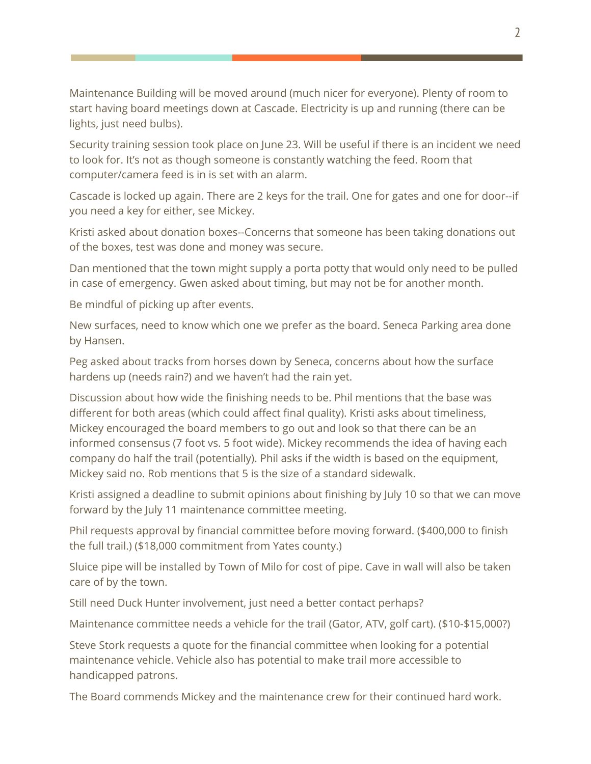Maintenance Building will be moved around (much nicer for everyone). Plenty of room to start having board meetings down at Cascade. Electricity is up and running (there can be lights, just need bulbs).

Security training session took place on June 23. Will be useful if there is an incident we need to look for. It's not as though someone is constantly watching the feed. Room that computer/camera feed is in is set with an alarm.

Cascade is locked up again. There are 2 keys for the trail. One for gates and one for door--if you need a key for either, see Mickey.

Kristi asked about donation boxes--Concerns that someone has been taking donations out of the boxes, test was done and money was secure.

Dan mentioned that the town might supply a porta potty that would only need to be pulled in case of emergency. Gwen asked about timing, but may not be for another month.

Be mindful of picking up after events.

New surfaces, need to know which one we prefer as the board. Seneca Parking area done by Hansen.

Peg asked about tracks from horses down by Seneca, concerns about how the surface hardens up (needs rain?) and we haven't had the rain yet.

Discussion about how wide the finishing needs to be. Phil mentions that the base was different for both areas (which could affect final quality). Kristi asks about timeliness, Mickey encouraged the board members to go out and look so that there can be an informed consensus (7 foot vs. 5 foot wide). Mickey recommends the idea of having each company do half the trail (potentially). Phil asks if the width is based on the equipment, Mickey said no. Rob mentions that 5 is the size of a standard sidewalk.

Kristi assigned a deadline to submit opinions about finishing by July 10 so that we can move forward by the July 11 maintenance committee meeting.

Phil requests approval by financial committee before moving forward. (\$400,000 to finish the full trail.) (\$18,000 commitment from Yates county.)

Sluice pipe will be installed by Town of Milo for cost of pipe. Cave in wall will also be taken care of by the town.

Still need Duck Hunter involvement, just need a better contact perhaps?

Maintenance committee needs a vehicle for the trail (Gator, ATV, golf cart). (\$10-\$15,000?)

Steve Stork requests a quote for the financial committee when looking for a potential maintenance vehicle. Vehicle also has potential to make trail more accessible to handicapped patrons.

The Board commends Mickey and the maintenance crew for their continued hard work.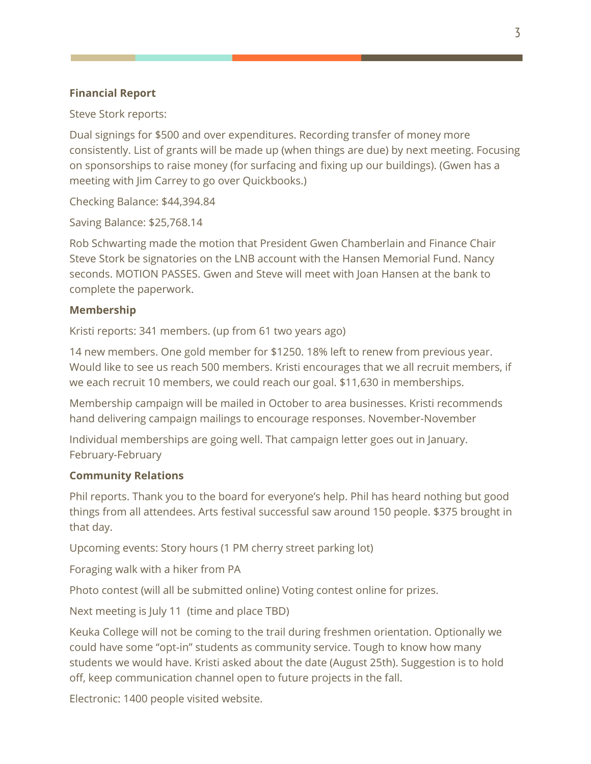### **Financial Report**

Steve Stork reports:

Dual signings for \$500 and over expenditures. Recording transfer of money more consistently. List of grants will be made up (when things are due) by next meeting. Focusing on sponsorships to raise money (for surfacing and fixing up our buildings). (Gwen has a meeting with Jim Carrey to go over Quickbooks.)

Checking Balance: \$44,394.84

Saving Balance: \$25,768.14

Rob Schwarting made the motion that President Gwen Chamberlain and Finance Chair Steve Stork be signatories on the LNB account with the Hansen Memorial Fund. Nancy seconds. MOTION PASSES. Gwen and Steve will meet with Joan Hansen at the bank to complete the paperwork.

#### **Membership**

Kristi reports: 341 members. (up from 61 two years ago)

14 new members. One gold member for \$1250. 18% left to renew from previous year. Would like to see us reach 500 members. Kristi encourages that we all recruit members, if we each recruit 10 members, we could reach our goal. \$11,630 in memberships.

Membership campaign will be mailed in October to area businesses. Kristi recommends hand delivering campaign mailings to encourage responses. November-November

Individual memberships are going well. That campaign letter goes out in January. February-February

#### **Community Relations**

Phil reports. Thank you to the board for everyone's help. Phil has heard nothing but good things from all attendees. Arts festival successful saw around 150 people. \$375 brought in that day.

Upcoming events: Story hours (1 PM cherry street parking lot)

Foraging walk with a hiker from PA

Photo contest (will all be submitted online) Voting contest online for prizes.

Next meeting is July 11 (time and place TBD)

Keuka College will not be coming to the trail during freshmen orientation. Optionally we could have some "opt-in" students as community service. Tough to know how many students we would have. Kristi asked about the date (August 25th). Suggestion is to hold off, keep communication channel open to future projects in the fall.

Electronic: 1400 people visited website.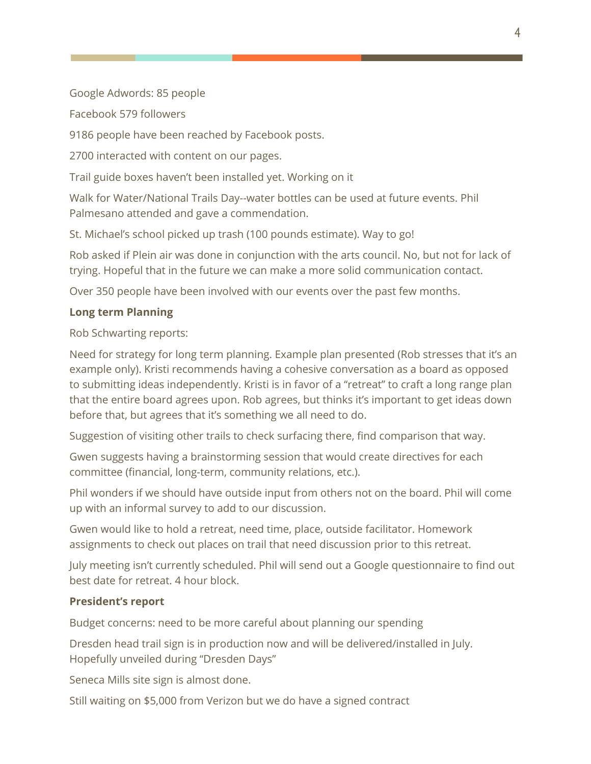Google Adwords: 85 people

Facebook 579 followers

9186 people have been reached by Facebook posts.

2700 interacted with content on our pages.

Trail guide boxes haven't been installed yet. Working on it

Walk for Water/National Trails Day--water bottles can be used at future events. Phil Palmesano attended and gave a commendation.

St. Michael's school picked up trash (100 pounds estimate). Way to go!

Rob asked if Plein air was done in conjunction with the arts council. No, but not for lack of trying. Hopeful that in the future we can make a more solid communication contact.

Over 350 people have been involved with our events over the past few months.

## **Long term Planning**

Rob Schwarting reports:

Need for strategy for long term planning. Example plan presented (Rob stresses that it's an example only). Kristi recommends having a cohesive conversation as a board as opposed to submitting ideas independently. Kristi is in favor of a "retreat" to craft a long range plan that the entire board agrees upon. Rob agrees, but thinks it's important to get ideas down before that, but agrees that it's something we all need to do.

Suggestion of visiting other trails to check surfacing there, find comparison that way.

Gwen suggests having a brainstorming session that would create directives for each committee (financial, long-term, community relations, etc.).

Phil wonders if we should have outside input from others not on the board. Phil will come up with an informal survey to add to our discussion.

Gwen would like to hold a retreat, need time, place, outside facilitator. Homework assignments to check out places on trail that need discussion prior to this retreat.

July meeting isn't currently scheduled. Phil will send out a Google questionnaire to find out best date for retreat. 4 hour block.

#### **President's report**

Budget concerns: need to be more careful about planning our spending

Dresden head trail sign is in production now and will be delivered/installed in July. Hopefully unveiled during "Dresden Days"

Seneca Mills site sign is almost done.

Still waiting on \$5,000 from Verizon but we do have a signed contract